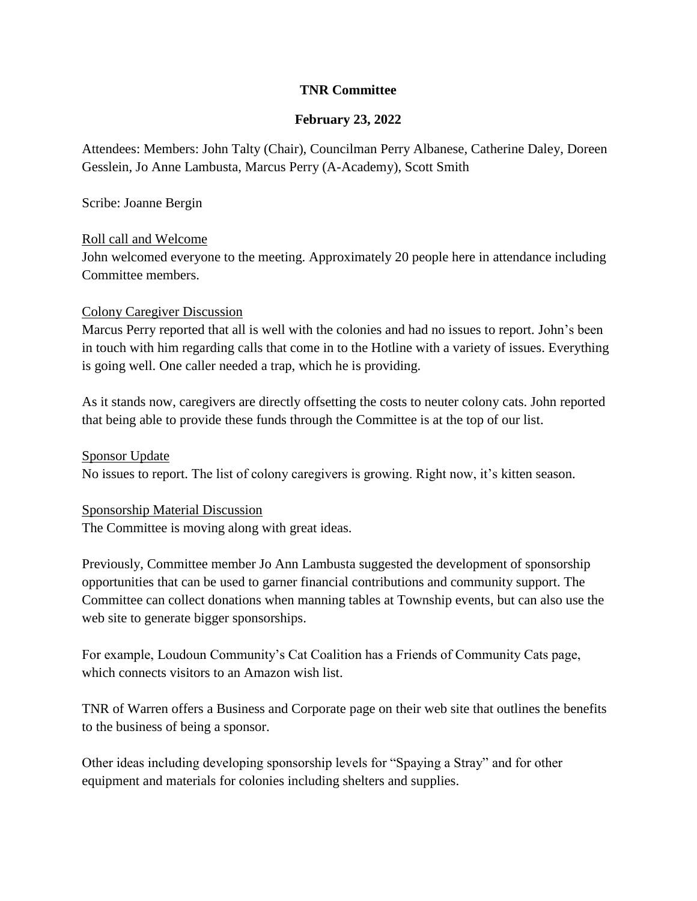# **TNR Committee**

# **February 23, 2022**

Attendees: Members: John Talty (Chair), Councilman Perry Albanese, Catherine Daley, Doreen Gesslein, Jo Anne Lambusta, Marcus Perry (A-Academy), Scott Smith

Scribe: Joanne Bergin

## Roll call and Welcome

John welcomed everyone to the meeting. Approximately 20 people here in attendance including Committee members.

## Colony Caregiver Discussion

Marcus Perry reported that all is well with the colonies and had no issues to report. John's been in touch with him regarding calls that come in to the Hotline with a variety of issues. Everything is going well. One caller needed a trap, which he is providing.

As it stands now, caregivers are directly offsetting the costs to neuter colony cats. John reported that being able to provide these funds through the Committee is at the top of our list.

#### Sponsor Update

No issues to report. The list of colony caregivers is growing. Right now, it's kitten season.

#### Sponsorship Material Discussion

The Committee is moving along with great ideas.

Previously, Committee member Jo Ann Lambusta suggested the development of sponsorship opportunities that can be used to garner financial contributions and community support. The Committee can collect donations when manning tables at Township events, but can also use the web site to generate bigger sponsorships.

For example, Loudoun Community's Cat Coalition has a Friends of Community Cats page, which connects visitors to an Amazon wish list.

TNR of Warren offers a Business and Corporate page on their web site that outlines the benefits to the business of being a sponsor.

Other ideas including developing sponsorship levels for "Spaying a Stray" and for other equipment and materials for colonies including shelters and supplies.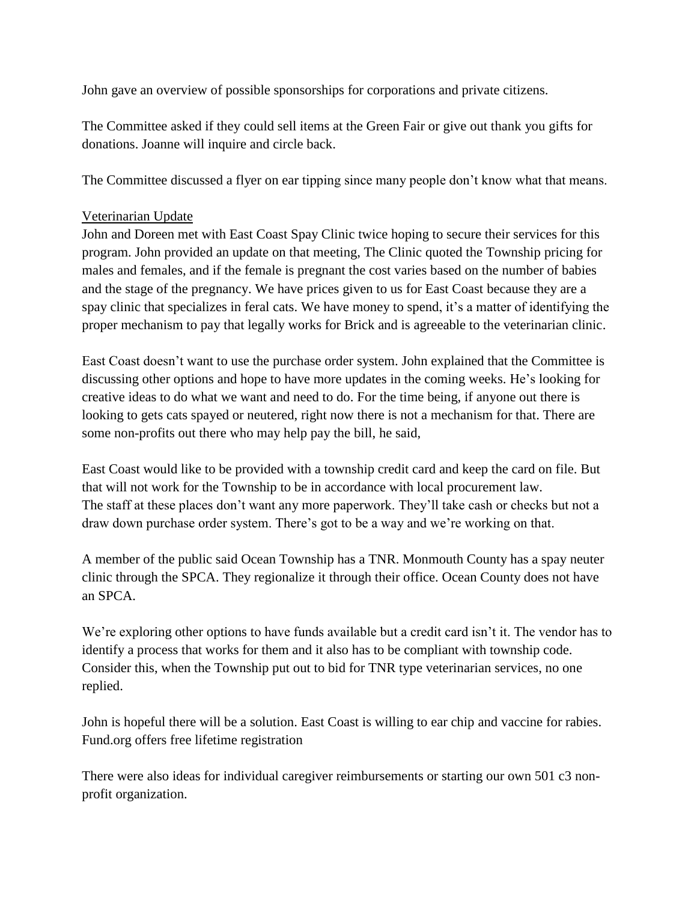John gave an overview of possible sponsorships for corporations and private citizens.

The Committee asked if they could sell items at the Green Fair or give out thank you gifts for donations. Joanne will inquire and circle back.

The Committee discussed a flyer on ear tipping since many people don't know what that means.

# Veterinarian Update

John and Doreen met with East Coast Spay Clinic twice hoping to secure their services for this program. John provided an update on that meeting, The Clinic quoted the Township pricing for males and females, and if the female is pregnant the cost varies based on the number of babies and the stage of the pregnancy. We have prices given to us for East Coast because they are a spay clinic that specializes in feral cats. We have money to spend, it's a matter of identifying the proper mechanism to pay that legally works for Brick and is agreeable to the veterinarian clinic.

East Coast doesn't want to use the purchase order system. John explained that the Committee is discussing other options and hope to have more updates in the coming weeks. He's looking for creative ideas to do what we want and need to do. For the time being, if anyone out there is looking to gets cats spayed or neutered, right now there is not a mechanism for that. There are some non-profits out there who may help pay the bill, he said,

East Coast would like to be provided with a township credit card and keep the card on file. But that will not work for the Township to be in accordance with local procurement law. The staff at these places don't want any more paperwork. They'll take cash or checks but not a draw down purchase order system. There's got to be a way and we're working on that.

A member of the public said Ocean Township has a TNR. Monmouth County has a spay neuter clinic through the SPCA. They regionalize it through their office. Ocean County does not have an SPCA.

We're exploring other options to have funds available but a credit card isn't it. The vendor has to identify a process that works for them and it also has to be compliant with township code. Consider this, when the Township put out to bid for TNR type veterinarian services, no one replied.

John is hopeful there will be a solution. East Coast is willing to ear chip and vaccine for rabies. Fund.org offers free lifetime registration

There were also ideas for individual caregiver reimbursements or starting our own 501 c3 nonprofit organization.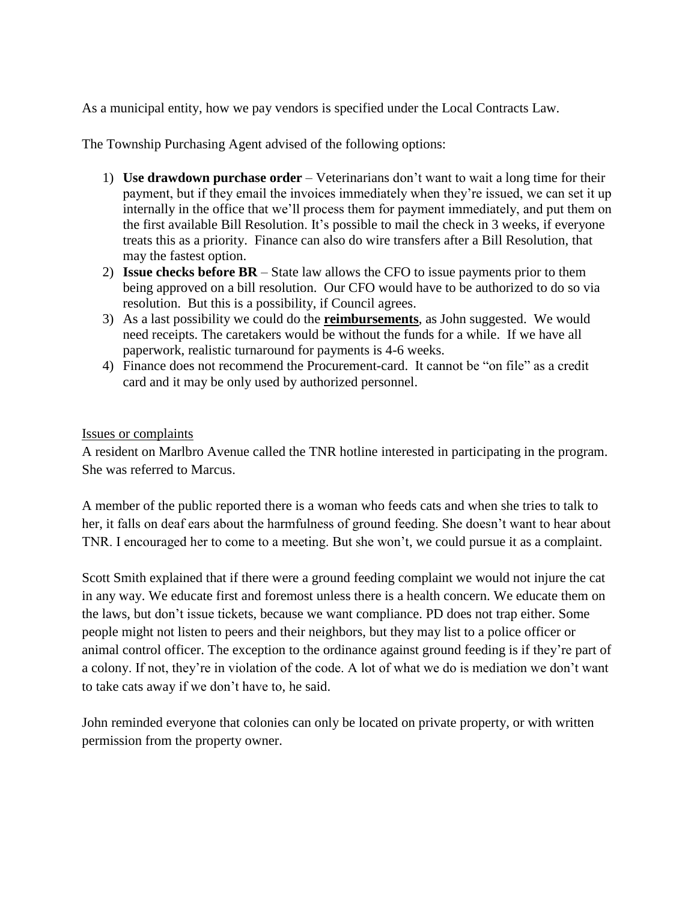As a municipal entity, how we pay vendors is specified under the Local Contracts Law.

The Township Purchasing Agent advised of the following options:

- 1) **Use drawdown purchase order** Veterinarians don't want to wait a long time for their payment, but if they email the invoices immediately when they're issued, we can set it up internally in the office that we'll process them for payment immediately, and put them on the first available Bill Resolution. It's possible to mail the check in 3 weeks, if everyone treats this as a priority. Finance can also do wire transfers after a Bill Resolution, that may the fastest option.
- 2) **Issue checks before BR**  State law allows the CFO to issue payments prior to them being approved on a bill resolution. Our CFO would have to be authorized to do so via resolution. But this is a possibility, if Council agrees.
- 3) As a last possibility we could do the **reimbursements**, as John suggested. We would need receipts. The caretakers would be without the funds for a while. If we have all paperwork, realistic turnaround for payments is 4-6 weeks.
- 4) Finance does not recommend the Procurement-card. It cannot be "on file" as a credit card and it may be only used by authorized personnel.

## Issues or complaints

A resident on Marlbro Avenue called the TNR hotline interested in participating in the program. She was referred to Marcus.

A member of the public reported there is a woman who feeds cats and when she tries to talk to her, it falls on deaf ears about the harmfulness of ground feeding. She doesn't want to hear about TNR. I encouraged her to come to a meeting. But she won't, we could pursue it as a complaint.

Scott Smith explained that if there were a ground feeding complaint we would not injure the cat in any way. We educate first and foremost unless there is a health concern. We educate them on the laws, but don't issue tickets, because we want compliance. PD does not trap either. Some people might not listen to peers and their neighbors, but they may list to a police officer or animal control officer. The exception to the ordinance against ground feeding is if they're part of a colony. If not, they're in violation of the code. A lot of what we do is mediation we don't want to take cats away if we don't have to, he said.

John reminded everyone that colonies can only be located on private property, or with written permission from the property owner.